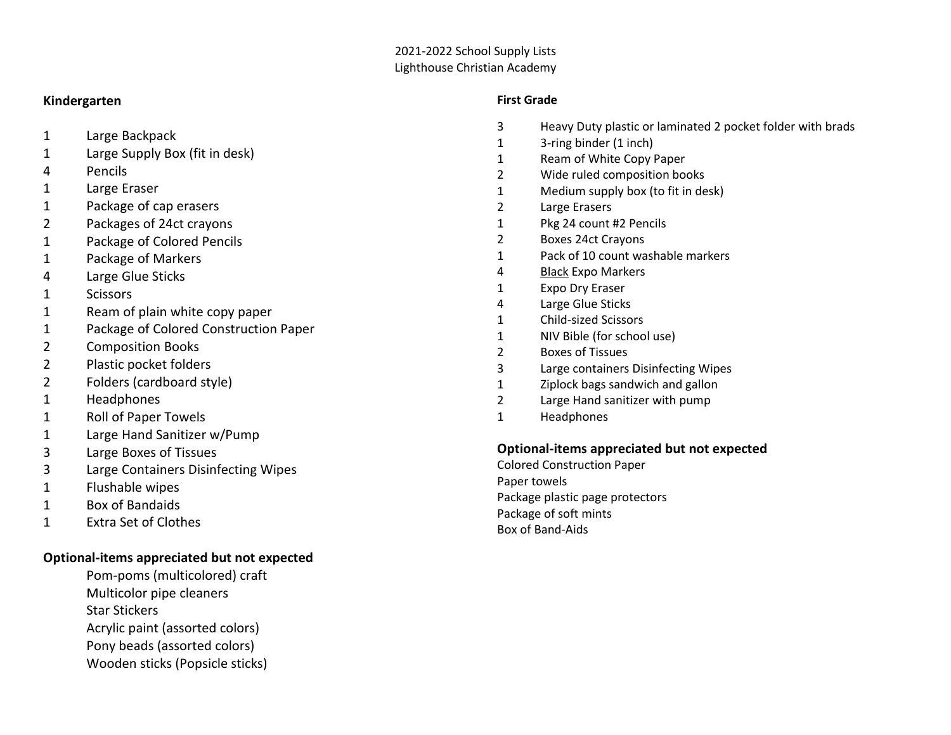#### 2021-2022 School Supply Lists Lighthouse Christian Academy

### **Kindergarten**

- 1 Large Backpack
- 1 Large Supply Box (fit in desk)
- 4 Pencils
- 1 Large Eraser
- 1 Package of cap erasers
- 2 Packages of 24ct crayons
- 1 Package of Colored Pencils
- 1 Package of Markers
- 4 Large Glue Sticks
- 1 Scissors
- 1 Ream of plain white copy paper
- 1 Package of Colored Construction Paper
- 2 Composition Books
- 2 Plastic pocket folders
- 2 Folders (cardboard style)
- 1 Headphones
- 1 Roll of Paper Towels
- 1 Large Hand Sanitizer w/Pump
- 3 Large Boxes of Tissues
- 3 Large Containers Disinfecting Wipes
- 1 Flushable wipes
- 1 Box of Bandaids
- 1 Extra Set of Clothes

# **Optional-items appreciated but not expected**

- Pom-poms (multicolored) craft
- Multicolor pipe cleaners
- Star Stickers
- Acrylic paint (assorted colors)
- Pony beads (assorted colors)
- Wooden sticks (Popsicle sticks)

### **First Grade**

- 3 Heavy Duty plastic or laminated 2 pocket folder with brads
- 1 3-ring binder (1 inch)
- 1 Ream of White Copy Paper
- 2 Wide ruled composition books
- 1 Medium supply box (to fit in desk)
- 2 Large Erasers
- 1 Pkg 24 count #2 Pencils
- 2 Boxes 24ct Crayons
- 1 Pack of 10 count washable markers
- 4 Black Expo Markers
- 1 Expo Dry Eraser
- 4 Large Glue Sticks
- 1 Child-sized Scissors
- 1 NIV Bible (for school use)
- 2 Boxes of Tissues
- 3 Large containers Disinfecting Wipes
- 1 Ziplock bags sandwich and gallon
- 2 Large Hand sanitizer with pump
- 1 Headphones

# **Optional-items appreciated but not expected**

Colored Construction Paper Paper towels Package plastic page protectors Package of soft mints Box of Band-Aids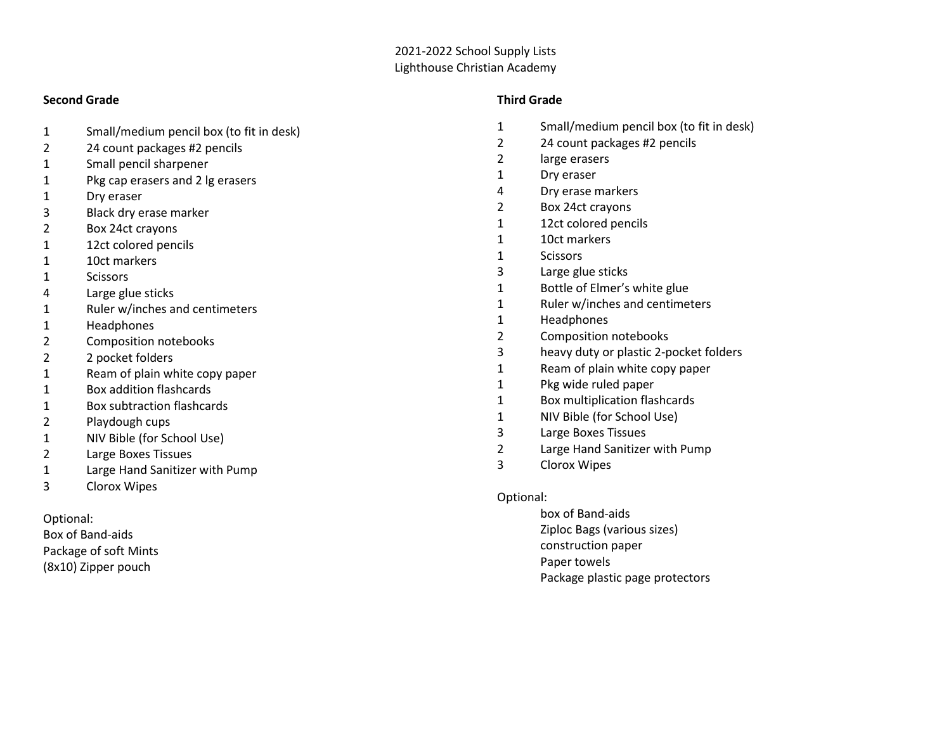### 2021-2022 School Supply Lists Lighthouse Christian Academy

#### **Second Grade**

- Small/medium pencil box (to fit in desk)
- 24 count packages #2 pencils
- Small pencil sharpener
- Pkg cap erasers and 2 lg erasers
- Dry eraser
- Black dry erase marker
- Box 24ct crayons
- 12ct colored pencils
- 10ct markers
- Scissors
- Large glue sticks
- Ruler w/inches and centimeters
- Headphones
- Composition notebooks
- 2 pocket folders
- Ream of plain white copy paper
- Box addition flashcards
- Box subtraction flashcards
- Playdough cups
- NIV Bible (for School Use)
- Large Boxes Tissues
- Large Hand Sanitizer with Pump
- Clorox Wipes

Optional:

Box of Band-aids Package of soft Mints (8x10) Zipper pouch

### **Third Grade**

- Small/medium pencil box (to fit in desk)
- 24 count packages #2 pencils
- large erasers
- Dry eraser
- Dry erase markers
- Box 24ct crayons
- 12ct colored pencils
- 10ct markers
- Scissors
- Large glue sticks
- Bottle of Elmer's white glue
- Ruler w/inches and centimeters
- Headphones
- Composition notebooks
- 3 heavy duty or plastic 2-pocket folders
- Ream of plain white copy paper
- Pkg wide ruled paper
- Box multiplication flashcards
- NIV Bible (for School Use)
- Large Boxes Tissues
- Large Hand Sanitizer with Pump
- Clorox Wipes

### Optional:

box of Band-aids Ziploc Bags (various sizes) construction paper Paper towels Package plastic page protectors